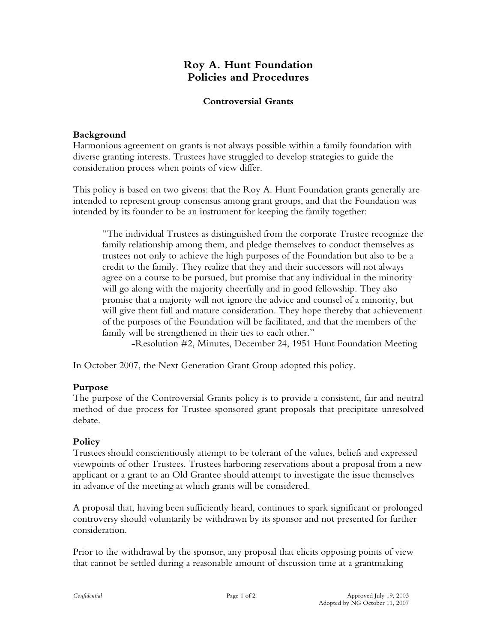# **Roy A. Hunt Foundation Policies and Procedures**

### **Controversial Grants**

### **Background**

Harmonious agreement on grants is not always possible within a family foundation with diverse granting interests. Trustees have struggled to develop strategies to guide the consideration process when points of view differ.

This policy is based on two givens: that the Roy A. Hunt Foundation grants generally are intended to represent group consensus among grant groups, and that the Foundation was intended by its founder to be an instrument for keeping the family together:

"The individual Trustees as distinguished from the corporate Trustee recognize the family relationship among them, and pledge themselves to conduct themselves as trustees not only to achieve the high purposes of the Foundation but also to be a credit to the family. They realize that they and their successors will not always agree on a course to be pursued, but promise that any individual in the minority will go along with the majority cheerfully and in good fellowship. They also promise that a majority will not ignore the advice and counsel of a minority, but will give them full and mature consideration. They hope thereby that achievement of the purposes of the Foundation will be facilitated, and that the members of the family will be strengthened in their ties to each other."

-Resolution #2, Minutes, December 24, 1951 Hunt Foundation Meeting

In October 2007, the Next Generation Grant Group adopted this policy.

# **Purpose**

The purpose of the Controversial Grants policy is to provide a consistent, fair and neutral method of due process for Trustee-sponsored grant proposals that precipitate unresolved debate.

# **Policy**

Trustees should conscientiously attempt to be tolerant of the values, beliefs and expressed viewpoints of other Trustees. Trustees harboring reservations about a proposal from a new applicant or a grant to an Old Grantee should attempt to investigate the issue themselves in advance of the meeting at which grants will be considered.

A proposal that, having been sufficiently heard, continues to spark significant or prolonged controversy should voluntarily be withdrawn by its sponsor and not presented for further consideration.

Prior to the withdrawal by the sponsor, any proposal that elicits opposing points of view that cannot be settled during a reasonable amount of discussion time at a grantmaking